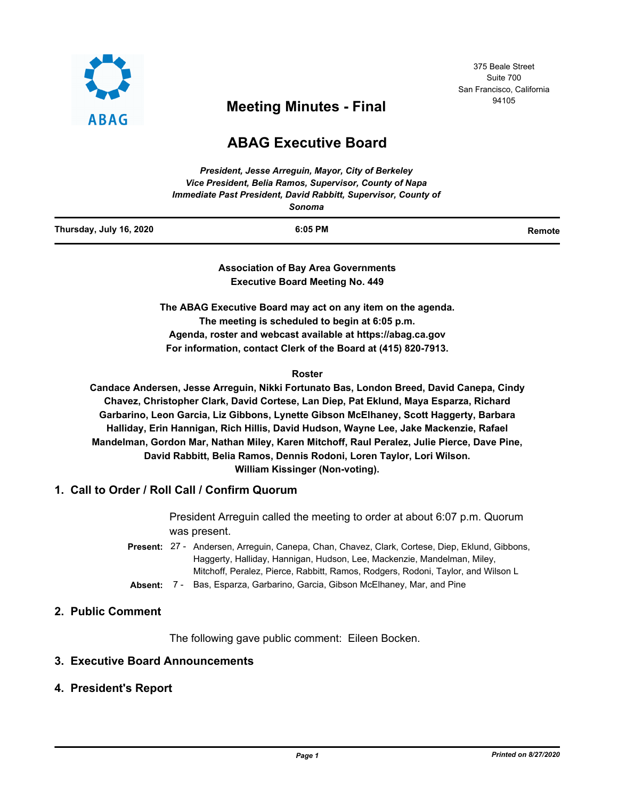

375 Beale Street Suite 700 San Francisco, California

# <sup>94105</sup> **Meeting Minutes - Final**

# **ABAG Executive Board**

|                         | President, Jesse Arrequin, Mayor, City of Berkeley             |        |
|-------------------------|----------------------------------------------------------------|--------|
|                         | Vice President, Belia Ramos, Supervisor, County of Napa        |        |
|                         | Immediate Past President, David Rabbitt, Supervisor, County of |        |
|                         | Sonoma                                                         |        |
| Thursday, July 16, 2020 | 6:05 PM                                                        | Remote |

**Association of Bay Area Governments Executive Board Meeting No. 449**

**The ABAG Executive Board may act on any item on the agenda. The meeting is scheduled to begin at 6:05 p.m. Agenda, roster and webcast available at https://abag.ca.gov For information, contact Clerk of the Board at (415) 820-7913.**

#### **Roster**

**Candace Andersen, Jesse Arreguin, Nikki Fortunato Bas, London Breed, David Canepa, Cindy Chavez, Christopher Clark, David Cortese, Lan Diep, Pat Eklund, Maya Esparza, Richard Garbarino, Leon Garcia, Liz Gibbons, Lynette Gibson McElhaney, Scott Haggerty, Barbara Halliday, Erin Hannigan, Rich Hillis, David Hudson, Wayne Lee, Jake Mackenzie, Rafael Mandelman, Gordon Mar, Nathan Miley, Karen Mitchoff, Raul Peralez, Julie Pierce, Dave Pine, David Rabbitt, Belia Ramos, Dennis Rodoni, Loren Taylor, Lori Wilson. William Kissinger (Non-voting).**

# **1. Call to Order / Roll Call / Confirm Quorum**

President Arreguin called the meeting to order at about 6:07 p.m. Quorum was present.

- Present: 27 Andersen, Arreguin, Canepa, Chan, Chavez, Clark, Cortese, Diep, Eklund, Gibbons, Haggerty, Halliday, Hannigan, Hudson, Lee, Mackenzie, Mandelman, Miley, Mitchoff, Peralez, Pierce, Rabbitt, Ramos, Rodgers, Rodoni, Taylor, and Wilson L
- **Absent:** 7 Bas, Esparza, Garbarino, Garcia, Gibson McElhaney, Mar, and Pine

# **2. Public Comment**

The following gave public comment: Eileen Bocken.

## **3. Executive Board Announcements**

# **4. President's Report**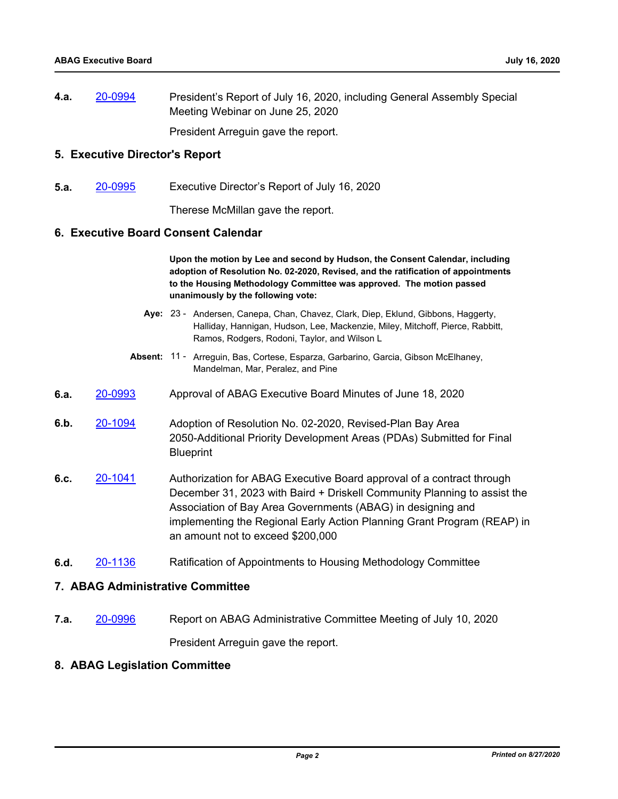**4.a.** [20-0994](http://mtc.legistar.com/gateway.aspx?m=l&id=/matter.aspx?key=20858) President's Report of July 16, 2020, including General Assembly Special Meeting Webinar on June 25, 2020

President Arreguin gave the report.

#### **5. Executive Director's Report**

**5.a.** [20-0995](http://mtc.legistar.com/gateway.aspx?m=l&id=/matter.aspx?key=20859) Executive Director's Report of July 16, 2020

Therese McMillan gave the report.

#### **6. Executive Board Consent Calendar**

**Upon the motion by Lee and second by Hudson, the Consent Calendar, including adoption of Resolution No. 02-2020, Revised, and the ratification of appointments to the Housing Methodology Committee was approved. The motion passed unanimously by the following vote:**

- Aye: 23 Andersen, Canepa, Chan, Chavez, Clark, Diep, Eklund, Gibbons, Haggerty, Halliday, Hannigan, Hudson, Lee, Mackenzie, Miley, Mitchoff, Pierce, Rabbitt, Ramos, Rodgers, Rodoni, Taylor, and Wilson L
- Absent: 11 Arreguin, Bas, Cortese, Esparza, Garbarino, Garcia, Gibson McElhaney, Mandelman, Mar, Peralez, and Pine
- **6.a.** [20-0993](http://mtc.legistar.com/gateway.aspx?m=l&id=/matter.aspx?key=20857) Approval of ABAG Executive Board Minutes of June 18, 2020
- **6.b.** [20-1094](http://mtc.legistar.com/gateway.aspx?m=l&id=/matter.aspx?key=20959) Adoption of Resolution No. 02-2020, Revised-Plan Bay Area 2050-Additional Priority Development Areas (PDAs) Submitted for Final **Blueprint**
- **6.c.** [20-1041](http://mtc.legistar.com/gateway.aspx?m=l&id=/matter.aspx?key=20905) Authorization for ABAG Executive Board approval of a contract through December 31, 2023 with Baird + Driskell Community Planning to assist the Association of Bay Area Governments (ABAG) in designing and implementing the Regional Early Action Planning Grant Program (REAP) in an amount not to exceed \$200,000
- **6.d.** [20-1136](http://mtc.legistar.com/gateway.aspx?m=l&id=/matter.aspx?key=21001) Ratification of Appointments to Housing Methodology Committee

#### **7. ABAG Administrative Committee**

**7.a.** [20-0996](http://mtc.legistar.com/gateway.aspx?m=l&id=/matter.aspx?key=20860) Report on ABAG Administrative Committee Meeting of July 10, 2020 President Arreguin gave the report.

#### **8. ABAG Legislation Committee**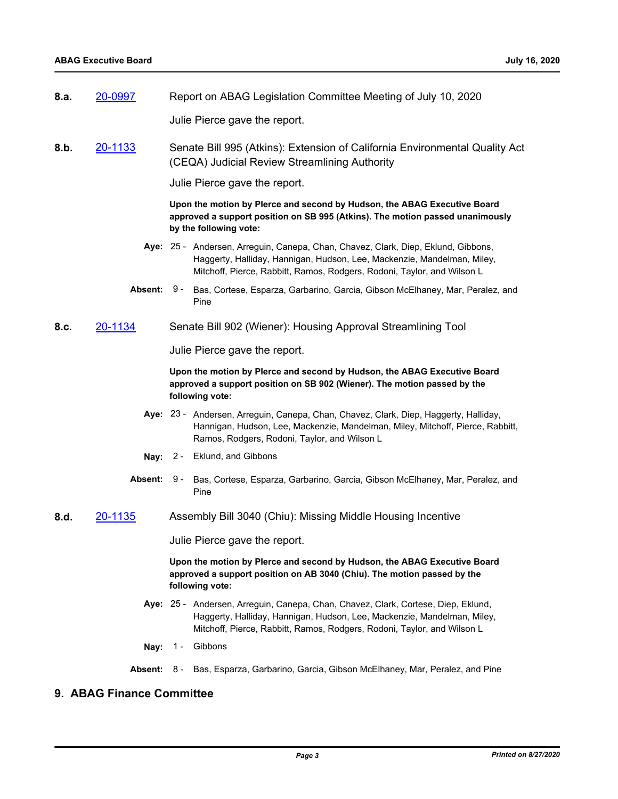| 8.a. | 20-0997 | Report on ABAG Legislation Committee Meeting of July 10, 2020 |
|------|---------|---------------------------------------------------------------|
|      |         |                                                               |

Julie Pierce gave the report.

**8.b.** [20-1133](http://mtc.legistar.com/gateway.aspx?m=l&id=/matter.aspx?key=20998) Senate Bill 995 (Atkins): Extension of California Environmental Quality Act (CEQA) Judicial Review Streamlining Authority

Julie Pierce gave the report.

**Upon the motion by PIerce and second by Hudson, the ABAG Executive Board approved a support position on SB 995 (Atkins). The motion passed unanimously by the following vote:**

- Aye: 25 Andersen, Arreguin, Canepa, Chan, Chavez, Clark, Diep, Eklund, Gibbons, Haggerty, Halliday, Hannigan, Hudson, Lee, Mackenzie, Mandelman, Miley, Mitchoff, Pierce, Rabbitt, Ramos, Rodgers, Rodoni, Taylor, and Wilson L
- **Absent:** Bas, Cortese, Esparza, Garbarino, Garcia, Gibson McElhaney, Mar, Peralez, and Pine Absent: 9 -
- **8.c.** [20-1134](http://mtc.legistar.com/gateway.aspx?m=l&id=/matter.aspx?key=20999) Senate Bill 902 (Wiener): Housing Approval Streamlining Tool

Julie Pierce gave the report.

**Upon the motion by PIerce and second by Hudson, the ABAG Executive Board approved a support position on SB 902 (Wiener). The motion passed by the following vote:**

- Aye: 23 Andersen, Arreguin, Canepa, Chan, Chavez, Clark, Diep, Haggerty, Halliday, Hannigan, Hudson, Lee, Mackenzie, Mandelman, Miley, Mitchoff, Pierce, Rabbitt, Ramos, Rodgers, Rodoni, Taylor, and Wilson L
- **Nay:** 2 Eklund, and Gibbons
- **Absent:** Bas, Cortese, Esparza, Garbarino, Garcia, Gibson McElhaney, Mar, Peralez, and Pine Absent:  $9 -$
- **8.d.** [20-1135](http://mtc.legistar.com/gateway.aspx?m=l&id=/matter.aspx?key=21000) Assembly Bill 3040 (Chiu): Missing Middle Housing Incentive

Julie Pierce gave the report.

**Upon the motion by PIerce and second by Hudson, the ABAG Executive Board approved a support position on AB 3040 (Chiu). The motion passed by the following vote:**

- Aye: 25 Andersen, Arreguin, Canepa, Chan, Chavez, Clark, Cortese, Diep, Eklund, Haggerty, Halliday, Hannigan, Hudson, Lee, Mackenzie, Mandelman, Miley, Mitchoff, Pierce, Rabbitt, Ramos, Rodgers, Rodoni, Taylor, and Wilson L
- Nay: 1 Gibbons
- **Absent:** 8 Bas, Esparza, Garbarino, Garcia, Gibson McElhaney, Mar, Peralez, and Pine

# **9. ABAG Finance Committee**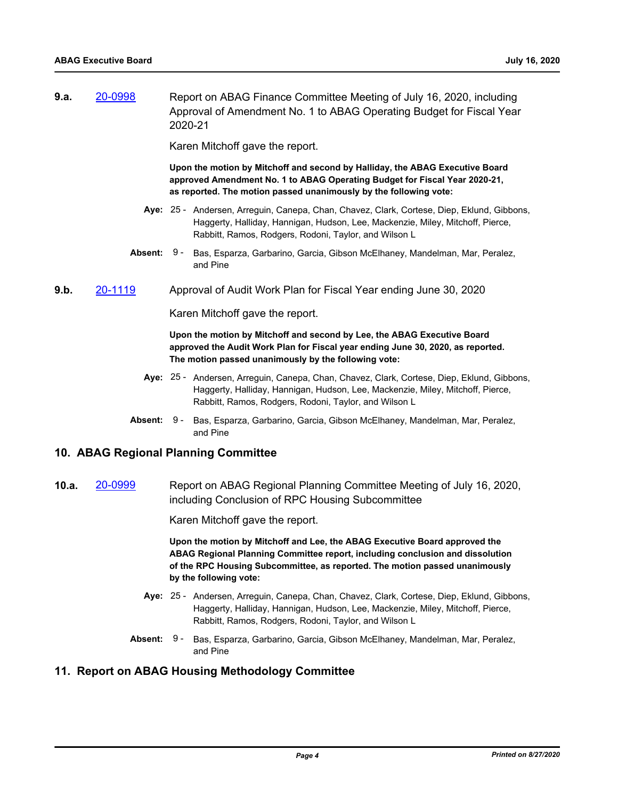**9.a.** [20-0998](http://mtc.legistar.com/gateway.aspx?m=l&id=/matter.aspx?key=20862) Report on ABAG Finance Committee Meeting of July 16, 2020, including Approval of Amendment No. 1 to ABAG Operating Budget for Fiscal Year 2020-21

Karen Mitchoff gave the report.

**Upon the motion by Mitchoff and second by Halliday, the ABAG Executive Board approved Amendment No. 1 to ABAG Operating Budget for Fiscal Year 2020-21, as reported. The motion passed unanimously by the following vote:**

- Aye: 25 Andersen, Arreguin, Canepa, Chan, Chavez, Clark, Cortese, Diep, Eklund, Gibbons, Haggerty, Halliday, Hannigan, Hudson, Lee, Mackenzie, Miley, Mitchoff, Pierce, Rabbitt, Ramos, Rodgers, Rodoni, Taylor, and Wilson L
- **Absent:** Bas, Esparza, Garbarino, Garcia, Gibson McElhaney, Mandelman, Mar, Peralez, and Pine Absent: 9 -
- **9.b.** [20-1119](http://mtc.legistar.com/gateway.aspx?m=l&id=/matter.aspx?key=20984) Approval of Audit Work Plan for Fiscal Year ending June 30, 2020

Karen Mitchoff gave the report.

#### **Upon the motion by Mitchoff and second by Lee, the ABAG Executive Board approved the Audit Work Plan for Fiscal year ending June 30, 2020, as reported. The motion passed unanimously by the following vote:**

- Aye: 25 Andersen, Arreguin, Canepa, Chan, Chavez, Clark, Cortese, Diep, Eklund, Gibbons, Haggerty, Halliday, Hannigan, Hudson, Lee, Mackenzie, Miley, Mitchoff, Pierce, Rabbitt, Ramos, Rodgers, Rodoni, Taylor, and Wilson L
- **Absent:** Bas, Esparza, Garbarino, Garcia, Gibson McElhaney, Mandelman, Mar, Peralez, and Pine Absent: 9 -

#### **10. ABAG Regional Planning Committee**

**10.a.** [20-0999](http://mtc.legistar.com/gateway.aspx?m=l&id=/matter.aspx?key=20863) Report on ABAG Regional Planning Committee Meeting of July 16, 2020, including Conclusion of RPC Housing Subcommittee

Karen Mitchoff gave the report.

**Upon the motion by Mitchoff and Lee, the ABAG Executive Board approved the ABAG Regional Planning Committee report, including conclusion and dissolution of the RPC Housing Subcommittee, as reported. The motion passed unanimously by the following vote:**

- Aye: 25 Andersen, Arreguin, Canepa, Chan, Chavez, Clark, Cortese, Diep, Eklund, Gibbons, Haggerty, Halliday, Hannigan, Hudson, Lee, Mackenzie, Miley, Mitchoff, Pierce, Rabbitt, Ramos, Rodgers, Rodoni, Taylor, and Wilson L
- **Absent:** Bas, Esparza, Garbarino, Garcia, Gibson McElhaney, Mandelman, Mar, Peralez, and Pine Absent: 9 -

# **11. Report on ABAG Housing Methodology Committee**